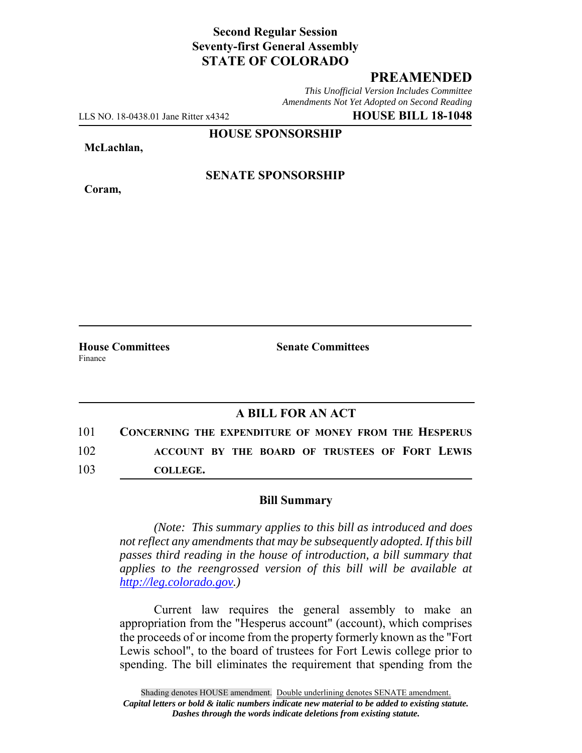# **Second Regular Session Seventy-first General Assembly STATE OF COLORADO**

## **PREAMENDED**

*This Unofficial Version Includes Committee Amendments Not Yet Adopted on Second Reading*

LLS NO. 18-0438.01 Jane Ritter x4342 **HOUSE BILL 18-1048**

**HOUSE SPONSORSHIP**

#### **McLachlan,**

**Coram,**

### **SENATE SPONSORSHIP**

**House Committees Senate Committees** Finance

## **A BILL FOR AN ACT**

101 **CONCERNING THE EXPENDITURE OF MONEY FROM THE HESPERUS** 102 **ACCOUNT BY THE BOARD OF TRUSTEES OF FORT LEWIS** 103 **COLLEGE.**

#### **Bill Summary**

*(Note: This summary applies to this bill as introduced and does not reflect any amendments that may be subsequently adopted. If this bill passes third reading in the house of introduction, a bill summary that applies to the reengrossed version of this bill will be available at http://leg.colorado.gov.)*

Current law requires the general assembly to make an appropriation from the "Hesperus account" (account), which comprises the proceeds of or income from the property formerly known as the "Fort Lewis school", to the board of trustees for Fort Lewis college prior to spending. The bill eliminates the requirement that spending from the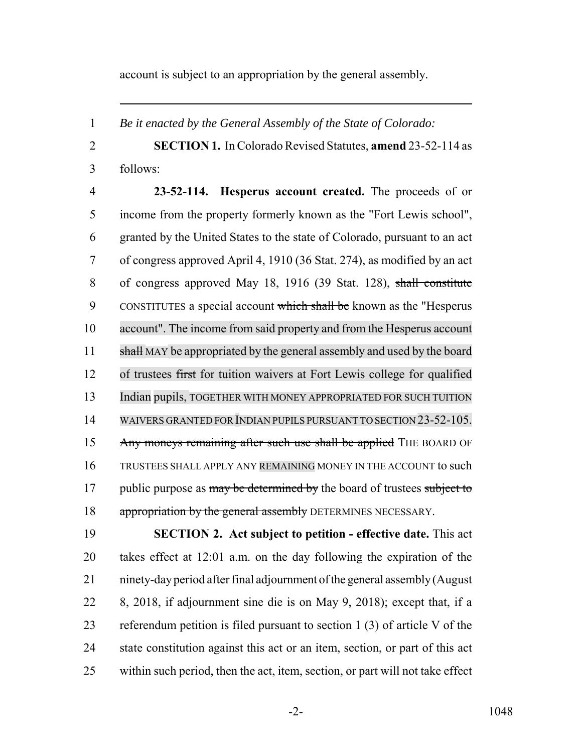account is subject to an appropriation by the general assembly.

*Be it enacted by the General Assembly of the State of Colorado:*

 **SECTION 1.** In Colorado Revised Statutes, **amend** 23-52-114 as follows:

 **23-52-114. Hesperus account created.** The proceeds of or income from the property formerly known as the "Fort Lewis school", granted by the United States to the state of Colorado, pursuant to an act of congress approved April 4, 1910 (36 Stat. 274), as modified by an act of congress approved May 18, 1916 (39 Stat. 128), shall constitute 9 CONSTITUTES a special account which shall be known as the "Hesperus" account". The income from said property and from the Hesperus account 11 shall MAY be appropriated by the general assembly and used by the board of trustees first for tuition waivers at Fort Lewis college for qualified 13 Indian pupils, TOGETHER WITH MONEY APPROPRIATED FOR SUCH TUITION WAIVERS GRANTED FOR INDIAN PUPILS PURSUANT TO SECTION 23-52-105. 15 Any moneys remaining after such use shall be applied THE BOARD OF TRUSTEES SHALL APPLY ANY REMAINING MONEY IN THE ACCOUNT to such 17 public purpose as may be determined by the board of trustees subject to 18 appropriation by the general assembly DETERMINES NECESSARY.

 **SECTION 2. Act subject to petition - effective date.** This act takes effect at 12:01 a.m. on the day following the expiration of the ninety-day period after final adjournment of the general assembly (August 8, 2018, if adjournment sine die is on May 9, 2018); except that, if a referendum petition is filed pursuant to section 1 (3) of article V of the state constitution against this act or an item, section, or part of this act within such period, then the act, item, section, or part will not take effect